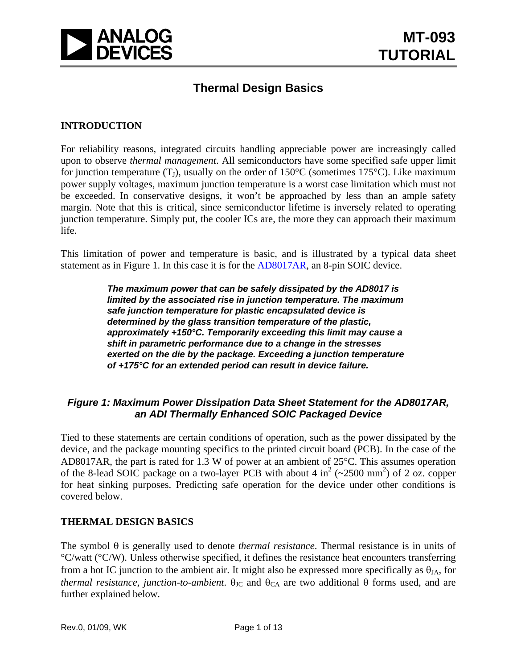

## **Thermal Design Basics**

#### **INTRODUCTION**

For reliability reasons, integrated circuits handling appreciable power are increasingly called upon to observe *thermal management*. All semiconductors have some specified safe upper limit for junction temperature  $(T_1)$ , usually on the order of 150°C (sometimes 175°C). Like maximum power supply voltages, maximum junction temperature is a worst case limitation which must not be exceeded. In conservative designs, it won't be approached by less than an ample safety margin. Note that this is critical, since semiconductor lifetime is inversely related to operating junction temperature. Simply put, the cooler ICs are, the more they can approach their maximum life.

This limitation of power and temperature is basic, and is illustrated by a typical data sheet statement as in Figure 1. In this case it is for the [AD8017AR,](http://www.analog.com/en/amplifiers-and-comparators/operational-amplifiers-op-amps/ad8017/products/product.html) an 8-pin SOIC device.

> *The maximum power that can be safely dissipated by the AD8017 is limited by the associated rise in junction temperature. The maximum safe junction temperature for plastic encapsulated device is determined by the glass transition temperature of the plastic, approximately +150°C. Temporarily exceeding this limit may cause a shift in parametric performance due to a change in the stresses exerted on the die by the package. Exceeding a junction temperature of +175°C for an extended period can result in device failure.*

#### *Figure 1: Maximum Power Dissipation Data Sheet Statement for the AD8017AR, an ADI Thermally Enhanced SOIC Packaged Device*

Tied to these statements are certain conditions of operation, such as the power dissipated by the device, and the package mounting specifics to the printed circuit board (PCB). In the case of the AD8017AR, the part is rated for 1.3 W of power at an ambient of 25°C. This assumes operation of the 8-lead SOIC package on a two-layer PCB with about 4 in<sup>2</sup> ( $\sim$ 2500 mm<sup>2</sup>) of 2 oz. copper for heat sinking purposes. Predicting safe operation for the device under other conditions is covered below.

#### **THERMAL DESIGN BASICS**

The symbol θ is generally used to denote *thermal resistance*. Thermal resistance is in units of  $\rm{°C/watt}$  ( $\rm{°C/W}$ ). Unless otherwise specified, it defines the resistance heat encounters transferring from a hot IC junction to the ambient air. It might also be expressed more specifically as  $\theta_{JA}$ , for *thermal resistance, junction-to-ambient.*  $\theta_{\text{JC}}$  and  $\theta_{\text{CA}}$  are two additional  $\theta$  forms used, and are further explained below.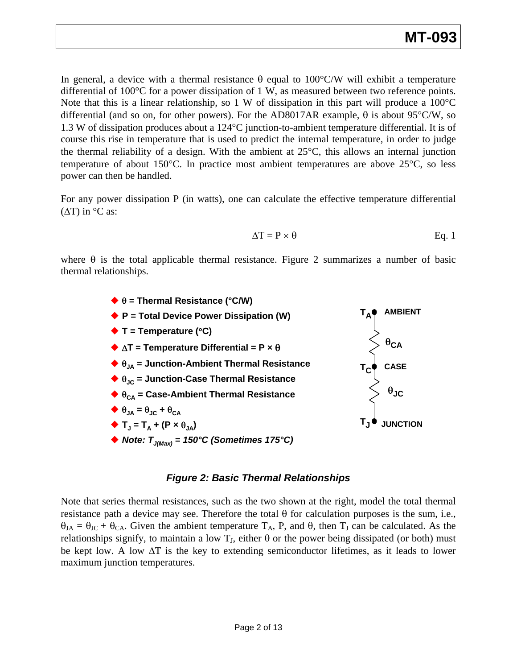# **MT-093**

In general, a device with a thermal resistance  $\theta$  equal to 100°C/W will exhibit a temperature differential of 100°C for a power dissipation of 1 W, as measured between two reference points. Note that this is a linear relationship, so 1 W of dissipation in this part will produce a  $100^{\circ}$ C differential (and so on, for other powers). For the AD8017AR example,  $\theta$  is about 95°C/W, so 1.3 W of dissipation produces about a 124°C junction-to-ambient temperature differential. It is of course this rise in temperature that is used to predict the internal temperature, in order to judge the thermal reliability of a design. With the ambient at  $25^{\circ}$ C, this allows an internal junction temperature of about 150°C. In practice most ambient temperatures are above 25°C, so less power can then be handled.

For any power dissipation P (in watts), one can calculate the effective temperature differential  $(\Delta T)$  in °C as:

$$
\Delta T = P \times \theta \qquad \qquad Eq. 1
$$

where  $\theta$  is the total applicable thermal resistance. Figure 2 summarizes a number of basic thermal relationships.



#### *Figure 2: Basic Thermal Relationships*

Note that series thermal resistances, such as the two shown at the right, model the total thermal resistance path a device may see. Therefore the total  $\theta$  for calculation purposes is the sum, i.e.,  $\theta_{JA} = \theta_{JC} + \theta_{CA}$ . Given the ambient temperature  $T_A$ , P, and  $\theta$ , then  $T_J$  can be calculated. As the relationships signify, to maintain a low  $T_J$ , either  $\theta$  or the power being dissipated (or both) must be kept low. A low ΔT is the key to extending semiconductor lifetimes, as it leads to lower maximum junction temperatures.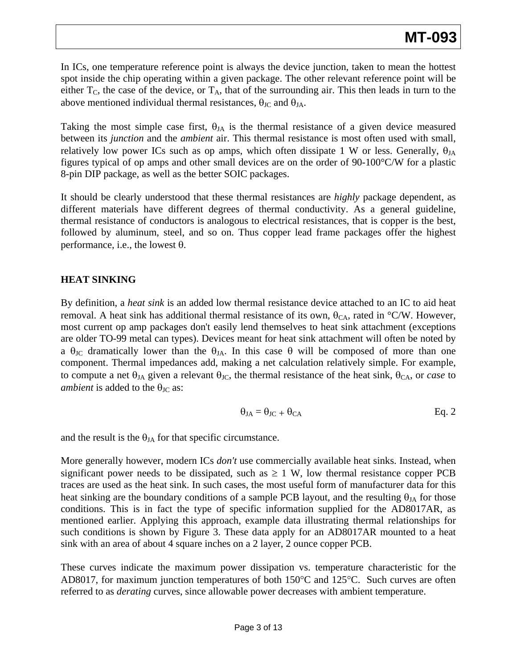In ICs, one temperature reference point is always the device junction, taken to mean the hottest spot inside the chip operating within a given package. The other relevant reference point will be either  $T_c$ , the case of the device, or  $T_A$ , that of the surrounding air. This then leads in turn to the above mentioned individual thermal resistances,  $\theta_{\text{JC}}$  and  $\theta_{\text{JA}}$ .

Taking the most simple case first,  $\theta_{JA}$  is the thermal resistance of a given device measured between its *junction* and the *ambient* air. This thermal resistance is most often used with small, relatively low power ICs such as op amps, which often dissipate 1 W or less. Generally,  $\theta_{IA}$ figures typical of op amps and other small devices are on the order of 90-100°C/W for a plastic 8-pin DIP package, as well as the better SOIC packages.

It should be clearly understood that these thermal resistances are *highly* package dependent, as different materials have different degrees of thermal conductivity. As a general guideline, thermal resistance of conductors is analogous to electrical resistances, that is copper is the best, followed by aluminum, steel, and so on. Thus copper lead frame packages offer the highest performance, i.e., the lowest θ.

## **HEAT SINKING**

By definition, a *heat sink* is an added low thermal resistance device attached to an IC to aid heat removal. A heat sink has additional thermal resistance of its own,  $\theta_{CA}$ , rated in °C/W. However, most current op amp packages don't easily lend themselves to heat sink attachment (exceptions are older TO-99 metal can types). Devices meant for heat sink attachment will often be noted by a  $\theta_{\text{JC}}$  dramatically lower than the  $\theta_{\text{JA}}$ . In this case  $\theta$  will be composed of more than one component. Thermal impedances add, making a net calculation relatively simple. For example, to compute a net  $\theta_{JA}$  given a relevant  $\theta_{JC}$ , the thermal resistance of the heat sink,  $\theta_{CA}$ , or *case* to *ambient* is added to the  $\theta_{\text{JC}}$  as:

$$
\theta_{JA} = \theta_{JC} + \theta_{CA} \qquad \qquad Eq. 2
$$

and the result is the  $\theta_{JA}$  for that specific circumstance.

More generally however, modern ICs *don't* use commercially available heat sinks. Instead, when significant power needs to be dissipated, such as  $\geq 1$  W, low thermal resistance copper PCB traces are used as the heat sink. In such cases, the most useful form of manufacturer data for this heat sinking are the boundary conditions of a sample PCB layout, and the resulting  $\theta_{JA}$  for those conditions. This is in fact the type of specific information supplied for the AD8017AR, as mentioned earlier. Applying this approach, example data illustrating thermal relationships for such conditions is shown by Figure 3. These data apply for an AD8017AR mounted to a heat sink with an area of about 4 square inches on a 2 layer, 2 ounce copper PCB.

These curves indicate the maximum power dissipation vs. temperature characteristic for the AD8017, for maximum junction temperatures of both 150°C and 125°C. Such curves are often referred to as *derating* curves, since allowable power decreases with ambient temperature.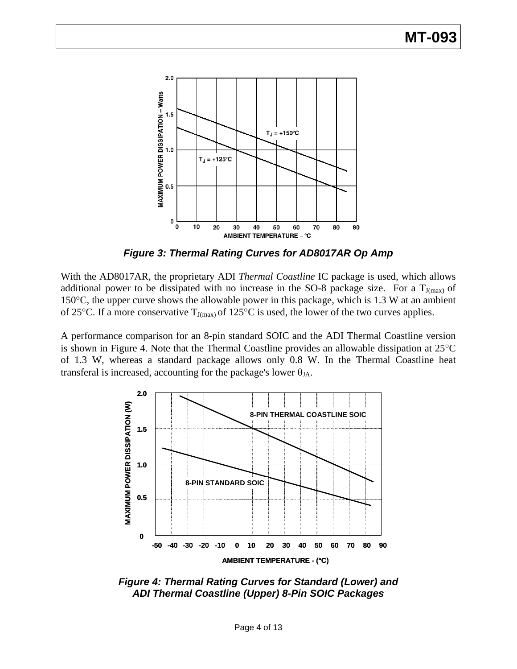

*Figure 3: Thermal Rating Curves for AD8017AR Op Amp* 

With the AD8017AR, the proprietary ADI *Thermal Coastline* IC package is used, which allows additional power to be dissipated with no increase in the SO-8 package size. For a  $T_{J(max)}$  of 150°C, the upper curve shows the allowable power in this package, which is 1.3 W at an ambient of 25 $\rm ^{\circ}C$ . If a more conservative T<sub>J(max)</sub> of 125 $\rm ^{\circ}C$  is used, the lower of the two curves applies.

A performance comparison for an 8-pin standard SOIC and the ADI Thermal Coastline version is shown in Figure 4. Note that the Thermal Coastline provides an allowable dissipation at 25°C of 1.3 W, whereas a standard package allows only 0.8 W. In the Thermal Coastline heat transferal is increased, accounting for the package's lower  $\theta_{JA}$ .



*Figure 4: Thermal Rating Curves for Standard (Lower) and ADI Thermal Coastline (Upper) 8-Pin SOIC Packages*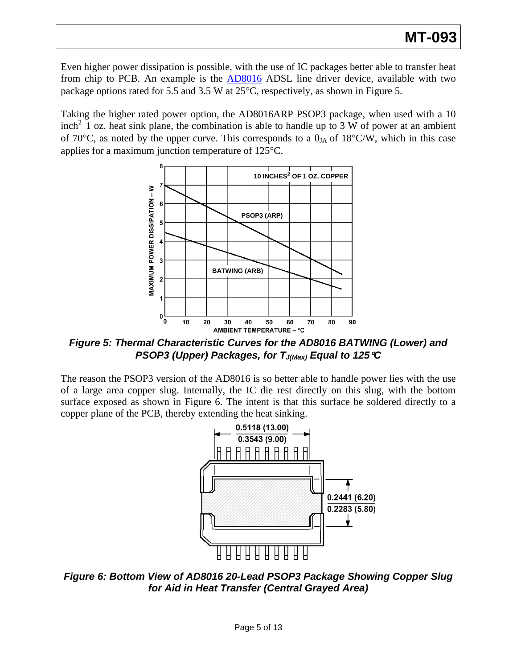Even higher power dissipation is possible, with the use of IC packages better able to transfer heat from chip to PCB. An example is the **[AD8016](http://www.analog.com/en/amplifiers-and-comparators/operational-amplifiers-op-amps/ad8016/products/product.html)** ADSL line driver device, available with two package options rated for 5.5 and 3.5 W at 25°C, respectively, as shown in Figure 5.

Taking the higher rated power option, the AD8016ARP PSOP3 package, when used with a 10  $\text{inch}^2$  1 oz. heat sink plane, the combination is able to handle up to 3 W of power at an ambient of 70 $\degree$ C, as noted by the upper curve. This corresponds to a  $\theta_{JA}$  of 18 $\degree$ C/W, which in this case applies for a maximum junction temperature of 125°C.



*Figure 5: Thermal Characteristic Curves for the AD8016 BATWING (Lower) and PSOP3 (Upper) Packages, for TJ(Max) Equal to 125*°*C* 

The reason the PSOP3 version of the AD8016 is so better able to handle power lies with the use of a large area copper slug. Internally, the IC die rest directly on this slug, with the bottom surface exposed as shown in Figure 6. The intent is that this surface be soldered directly to a copper plane of the PCB, thereby extending the heat sinking.



*Figure 6: Bottom View of AD8016 20-Lead PSOP3 Package Showing Copper Slug for Aid in Heat Transfer (Central Grayed Area)*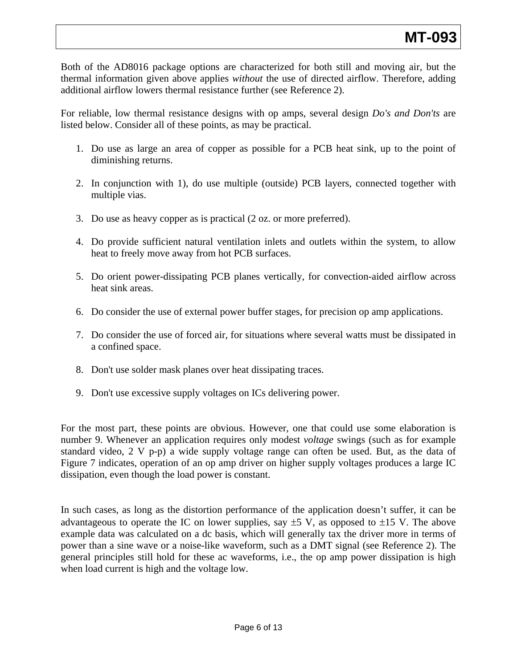Both of the AD8016 package options are characterized for both still and moving air, but the thermal information given above applies *without* the use of directed airflow. Therefore, adding additional airflow lowers thermal resistance further (see Reference 2).

For reliable, low thermal resistance designs with op amps, several design *Do's and Don'ts* are listed below. Consider all of these points, as may be practical.

- 1. Do use as large an area of copper as possible for a PCB heat sink, up to the point of diminishing returns.
- 2. In conjunction with 1), do use multiple (outside) PCB layers, connected together with multiple vias.
- 3. Do use as heavy copper as is practical (2 oz. or more preferred).
- 4. Do provide sufficient natural ventilation inlets and outlets within the system, to allow heat to freely move away from hot PCB surfaces.
- 5. Do orient power-dissipating PCB planes vertically, for convection-aided airflow across heat sink areas.
- 6. Do consider the use of external power buffer stages, for precision op amp applications.
- 7. Do consider the use of forced air, for situations where several watts must be dissipated in a confined space.
- 8. Don't use solder mask planes over heat dissipating traces.
- 9. Don't use excessive supply voltages on ICs delivering power.

For the most part, these points are obvious. However, one that could use some elaboration is number 9. Whenever an application requires only modest *voltage* swings (such as for example standard video, 2 V p-p) a wide supply voltage range can often be used. But, as the data of Figure 7 indicates, operation of an op amp driver on higher supply voltages produces a large IC dissipation, even though the load power is constant.

In such cases, as long as the distortion performance of the application doesn't suffer, it can be advantageous to operate the IC on lower supplies, say  $\pm$ 5 V, as opposed to  $\pm$ 15 V. The above example data was calculated on a dc basis, which will generally tax the driver more in terms of power than a sine wave or a noise-like waveform, such as a DMT signal (see Reference 2). The general principles still hold for these ac waveforms, i.e., the op amp power dissipation is high when load current is high and the voltage low.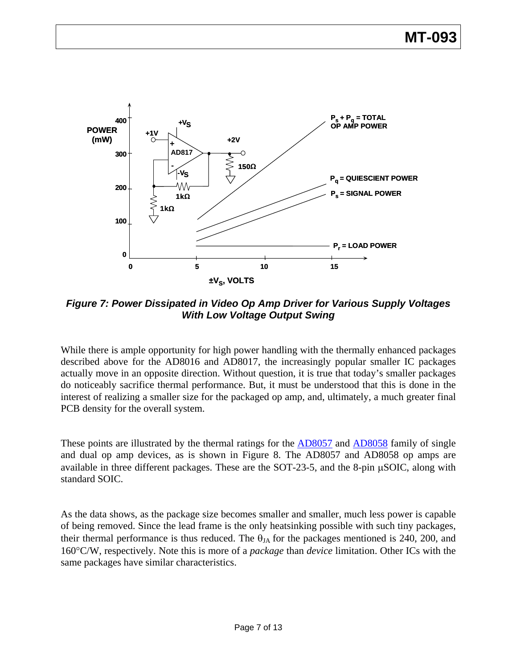

*Figure 7: Power Dissipated in Video Op Amp Driver for Various Supply Voltages With Low Voltage Output Swing* 

While there is ample opportunity for high power handling with the thermally enhanced packages described above for the AD8016 and AD8017, the increasingly popular smaller IC packages actually move in an opposite direction. Without question, it is true that today's smaller packages do noticeably sacrifice thermal performance. But, it must be understood that this is done in the interest of realizing a smaller size for the packaged op amp, and, ultimately, a much greater final PCB density for the overall system.

These points are illustrated by the thermal ratings for the [AD8057](http://www.analog.com/en/audiovideo-products/video-ampsbuffersfilters/ad8057/products/product.html) and [AD8058](http://www.analog.com/en/audiovideo-products/video-ampsbuffersfilters/ad8058/products/product.html) family of single and dual op amp devices, as is shown in Figure 8. The AD8057 and AD8058 op amps are available in three different packages. These are the SOT-23-5, and the 8-pin μSOIC, along with standard SOIC.

As the data shows, as the package size becomes smaller and smaller, much less power is capable of being removed. Since the lead frame is the only heatsinking possible with such tiny packages, their thermal performance is thus reduced. The  $\theta_{JA}$  for the packages mentioned is 240, 200, and 160°C/W, respectively. Note this is more of a *package* than *device* limitation. Other ICs with the same packages have similar characteristics.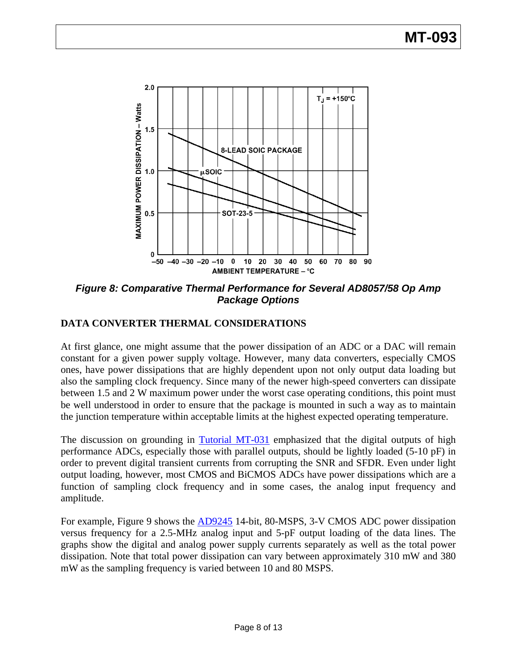

*Figure 8: Comparative Thermal Performance for Several AD8057/58 Op Amp Package Options* 

## **DATA CONVERTER THERMAL CONSIDERATIONS**

At first glance, one might assume that the power dissipation of an ADC or a DAC will remain constant for a given power supply voltage. However, many data converters, especially CMOS ones, have power dissipations that are highly dependent upon not only output data loading but also the sampling clock frequency. Since many of the newer high-speed converters can dissipate between 1.5 and 2 W maximum power under the worst case operating conditions, this point must be well understood in order to ensure that the package is mounted in such a way as to maintain the junction temperature within acceptable limits at the highest expected operating temperature.

The discussion on grounding in [Tutorial MT-031](http://www.analog.com/static/imported-files/tutorials/MT-011.pdf#page=8) emphasized that the digital outputs of high performance ADCs, especially those with parallel outputs, should be lightly loaded (5-10 pF) in order to prevent digital transient currents from corrupting the SNR and SFDR. Even under light output loading, however, most CMOS and BiCMOS ADCs have power dissipations which are a function of sampling clock frequency and in some cases, the analog input frequency and amplitude.

For example, Figure 9 shows the **[AD9245](http://www.analog.com/en/analog-to-digital-converters/ad-converters/ad9245/products/product.html)** 14-bit, 80-MSPS, 3-V CMOS ADC power dissipation versus frequency for a 2.5-MHz analog input and 5-pF output loading of the data lines. The graphs show the digital and analog power supply currents separately as well as the total power dissipation. Note that total power dissipation can vary between approximately 310 mW and 380 mW as the sampling frequency is varied between 10 and 80 MSPS.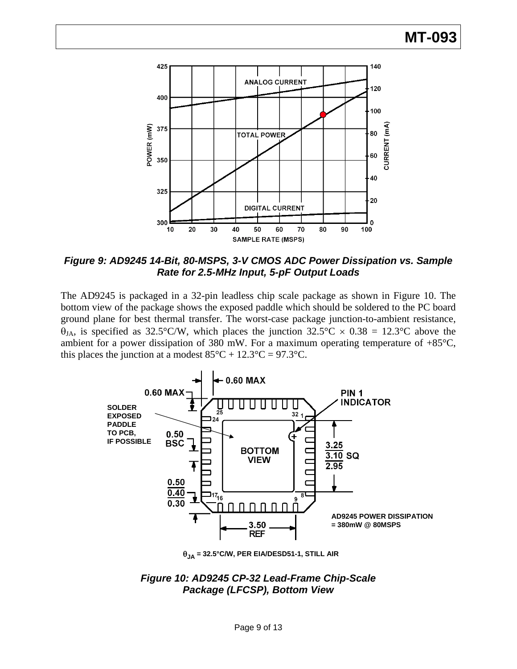

*Figure 9: AD9245 14-Bit, 80-MSPS, 3-V CMOS ADC Power Dissipation vs. Sample Rate for 2.5-MHz Input, 5-pF Output Loads* 

The AD9245 is packaged in a 32-pin leadless chip scale package as shown in Figure 10. The bottom view of the package shows the exposed paddle which should be soldered to the PC board ground plane for best thermal transfer. The worst-case package junction-to-ambient resistance,  $\theta_{JA}$ , is specified as 32.5°C/W, which places the junction 32.5°C  $\times$  0.38 = 12.3°C above the ambient for a power dissipation of 380 mW. For a maximum operating temperature of  $+85^{\circ}$ C, this places the junction at a modest  $85^{\circ}C + 12.3^{\circ}C = 97.3^{\circ}C$ .



θ**JA = 32.5°C/W, PER EIA/DESD51-1, STILL AIR**

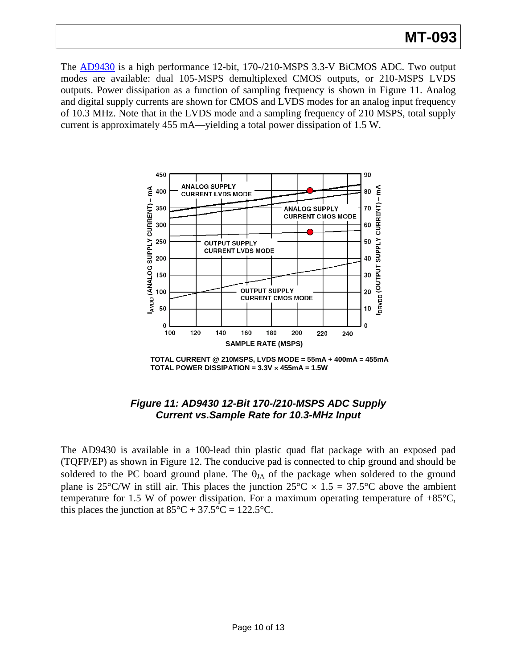## **MT-093**

The [AD9430](http://www.analog.com/en/analog-to-digital-converters/ad-converters/ad9430/products/product.html) is a high performance 12-bit, 170-/210-MSPS 3.3-V BiCMOS ADC. Two output modes are available: dual 105-MSPS demultiplexed CMOS outputs, or 210-MSPS LVDS outputs. Power dissipation as a function of sampling frequency is shown in Figure 11. Analog and digital supply currents are shown for CMOS and LVDS modes for an analog input frequency of 10.3 MHz. Note that in the LVDS mode and a sampling frequency of 210 MSPS, total supply current is approximately 455 mA—yielding a total power dissipation of 1.5 W.



**TOTAL CURRENT @ 210MSPS, LVDS MODE = 55mA + 400mA = 455mA TOTAL POWER DISSIPATION = 3.3V** × **455mA = 1.5W**

## *Figure 11: AD9430 12-Bit 170-/210-MSPS ADC Supply Current vs.Sample Rate for 10.3-MHz Input*

The AD9430 is available in a 100-lead thin plastic quad flat package with an exposed pad (TQFP/EP) as shown in Figure 12. The conducive pad is connected to chip ground and should be soldered to the PC board ground plane. The  $\theta_{IA}$  of the package when soldered to the ground plane is 25°C/W in still air. This places the junction  $25^{\circ}$ C  $\times$  1.5 = 37.5°C above the ambient temperature for 1.5 W of power dissipation. For a maximum operating temperature of  $+85^{\circ}$ C, this places the junction at  $85^{\circ}C + 37.5^{\circ}C = 122.5^{\circ}C$ .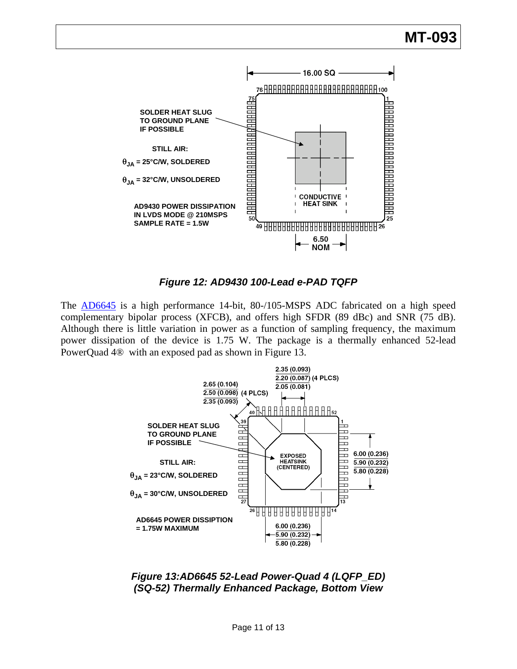

*Figure 12: AD9430 100-Lead e-PAD TQFP* 

The **[AD6645](http://www.analog.com/en/analog-to-digital-converters/ad-converters/ad6645/products/product.html)** is a high performance 14-bit, 80-/105-MSPS ADC fabricated on a high speed complementary bipolar process (XFCB), and offers high SFDR (89 dBc) and SNR (75 dB). Although there is little variation in power as a function of sampling frequency, the maximum power dissipation of the device is 1.75 W. The package is a thermally enhanced 52-lead PowerQuad 4® with an exposed pad as shown in Figure 13.



*Figure 13:AD6645 52-Lead Power-Quad 4 (LQFP\_ED) (SQ-52) Thermally Enhanced Package, Bottom View*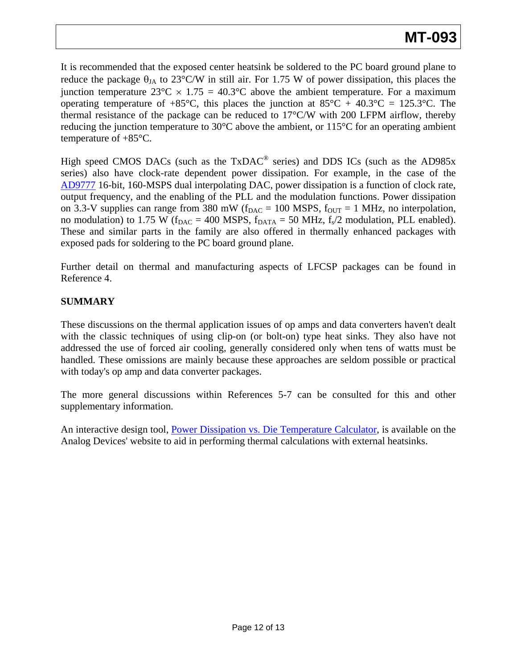It is recommended that the exposed center heatsink be soldered to the PC board ground plane to reduce the package  $\theta_{JA}$  to 23°C/W in still air. For 1.75 W of power dissipation, this places the junction temperature  $23^{\circ}\text{C} \times 1.75 = 40.3^{\circ}\text{C}$  above the ambient temperature. For a maximum operating temperature of  $+85^{\circ}$ C, this places the junction at  $85^{\circ}$ C + 40.3°C = 125.3°C. The thermal resistance of the package can be reduced to  $17^{\circ}$ C/W with 200 LFPM airflow, thereby reducing the junction temperature to 30 $\degree$ C above the ambient, or 115 $\degree$ C for an operating ambient temperature of +85°C.

High speed CMOS DACs (such as the TxDAC<sup>®</sup> series) and DDS ICs (such as the AD985x series) also have clock-rate dependent power dissipation. For example, in the case of the [AD9777](http://www.analog.com/en/digital-to-analog-converters/da-converters/ad9777/products/product.html) 16-bit, 160-MSPS dual interpolating DAC, power dissipation is a function of clock rate, output frequency, and the enabling of the PLL and the modulation functions. Power dissipation on 3.3-V supplies can range from 380 mW ( $f_{DAC} = 100$  MSPS,  $f_{OUT} = 1$  MHz, no interpolation, no modulation) to 1.75 W ( $f_{\text{DAC}} = 400$  MSPS,  $f_{\text{DATA}} = 50$  MHz,  $f_s/2$  modulation, PLL enabled). These and similar parts in the family are also offered in thermally enhanced packages with exposed pads for soldering to the PC board ground plane.

Further detail on thermal and manufacturing aspects of LFCSP packages can be found in Reference 4.

## **SUMMARY**

These discussions on the thermal application issues of op amps and data converters haven't dealt with the classic techniques of using clip-on (or bolt-on) type heat sinks. They also have not addressed the use of forced air cooling, generally considered only when tens of watts must be handled. These omissions are mainly because these approaches are seldom possible or practical with today's op amp and data converter packages.

The more general discussions within References 5-7 can be consulted for this and other supplementary information.

An interactive design tool, [Power Dissipation vs. Die Temperature Calculator](http://designtools.analog.com/dt/powertemp/powertemp.html), is available on the Analog Devices' website to aid in performing thermal calculations with external heatsinks.